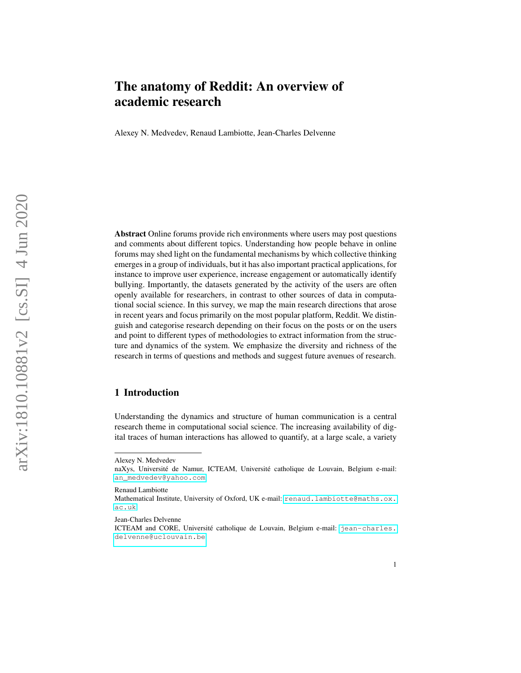# The anatomy of Reddit: An overview of academic research

Alexey N. Medvedev, Renaud Lambiotte, Jean-Charles Delvenne

Abstract Online forums provide rich environments where users may post questions and comments about different topics. Understanding how people behave in online forums may shed light on the fundamental mechanisms by which collective thinking emerges in a group of individuals, but it has also important practical applications, for instance to improve user experience, increase engagement or automatically identify bullying. Importantly, the datasets generated by the activity of the users are often openly available for researchers, in contrast to other sources of data in computational social science. In this survey, we map the main research directions that arose in recent years and focus primarily on the most popular platform, Reddit. We distinguish and categorise research depending on their focus on the posts or on the users and point to different types of methodologies to extract information from the structure and dynamics of the system. We emphasize the diversity and richness of the research in terms of questions and methods and suggest future avenues of research.

## 1 Introduction

Understanding the dynamics and structure of human communication is a central research theme in computational social science. The increasing availability of digital traces of human interactions has allowed to quantify, at a large scale, a variety

Alexey N. Medvedev

naXys, Université de Namur, ICTEAM, Université catholique de Louvain, Belgium e-mail: [an\\_medvedev@yahoo.com](an_medvedev@yahoo.com)

Renaud Lambiotte

Mathematical Institute, University of Oxford, UK e-mail: [renaud.lambiotte@maths.ox.](renaud.lambiotte@maths.ox.ac.uk) [ac.uk](renaud.lambiotte@maths.ox.ac.uk)

Jean-Charles Delvenne

ICTEAM and CORE, Université catholique de Louvain, Belgium e-mail: [jean-charles.](jean-charles.delvenne@uclouvain.be) [delvenne@uclouvain.be](jean-charles.delvenne@uclouvain.be)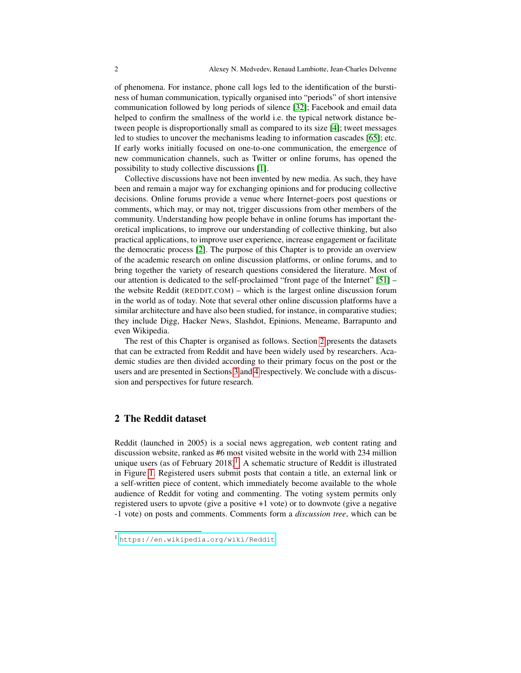of phenomena. For instance, phone call logs led to the identification of the burstiness of human communication, typically organised into "periods" of short intensive communication followed by long periods of silence [\[32\]](#page-19-0); Facebook and email data helped to confirm the smallness of the world i.e. the typical network distance between people is disproportionally small as compared to its size [\[4\]](#page-17-0); tweet messages led to studies to uncover the mechanisms leading to information cascades [\[65\]](#page-20-0); etc. If early works initially focused on one-to-one communication, the emergence of new communication channels, such as Twitter or online forums, has opened the possibility to study collective discussions [\[1\]](#page-17-1).

Collective discussions have not been invented by new media. As such, they have been and remain a major way for exchanging opinions and for producing collective decisions. Online forums provide a venue where Internet-goers post questions or comments, which may, or may not, trigger discussions from other members of the community. Understanding how people behave in online forums has important theoretical implications, to improve our understanding of collective thinking, but also practical applications, to improve user experience, increase engagement or facilitate the democratic process [\[2\]](#page-17-2). The purpose of this Chapter is to provide an overview of the academic research on online discussion platforms, or online forums, and to bring together the variety of research questions considered the literature. Most of our attention is dedicated to the self-proclaimed "front page of the Internet" [\[51\]](#page-20-1) – the website Reddit (REDDIT.COM) – which is the largest online discussion forum in the world as of today. Note that several other online discussion platforms have a similar architecture and have also been studied, for instance, in comparative studies; they include Digg, Hacker News, Slashdot, Epinions, Meneame, Barrapunto and even Wikipedia.

The rest of this Chapter is organised as follows. Section [2](#page-1-0) presents the datasets that can be extracted from Reddit and have been widely used by researchers. Academic studies are then divided according to their primary focus on the post or the users and are presented in Sections [3](#page-4-0) and [4](#page-11-0) respectively. We conclude with a discussion and perspectives for future research.

#### <span id="page-1-0"></span>2 The Reddit dataset

Reddit (launched in 2005) is a social news aggregation, web content rating and discussion website, ranked as #6 most visited website in the world with 234 million unique users (as of February  $2018$  $2018$  $2018$ )<sup>1</sup>. A schematic structure of Reddit is illustrated in Figure [1.](#page-2-0) Registered users submit posts that contain a title, an external link or a self-written piece of content, which immediately become available to the whole audience of Reddit for voting and commenting. The voting system permits only registered users to upvote (give a positive +1 vote) or to downvote (give a negative -1 vote) on posts and comments. Comments form a *discussion tree*, which can be

<span id="page-1-1"></span><sup>1</sup> <https://en.wikipedia.org/wiki/Reddit>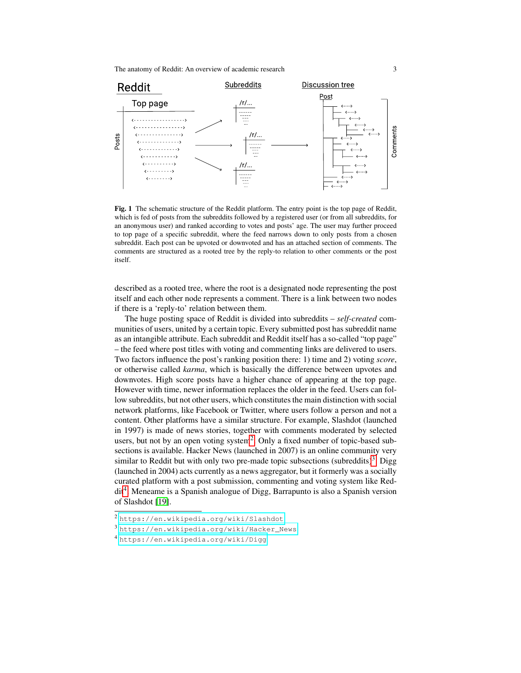The anatomy of Reddit: An overview of academic research 3



<span id="page-2-0"></span>Fig. 1 The schematic structure of the Reddit platform. The entry point is the top page of Reddit, which is fed of posts from the subreddits followed by a registered user (or from all subreddits, for an anonymous user) and ranked according to votes and posts' age. The user may further proceed to top page of a specific subreddit, where the feed narrows down to only posts from a chosen subreddit. Each post can be upvoted or downvoted and has an attached section of comments. The comments are structured as a rooted tree by the reply-to relation to other comments or the post itself.

described as a rooted tree, where the root is a designated node representing the post itself and each other node represents a comment. There is a link between two nodes if there is a 'reply-to' relation between them.

The huge posting space of Reddit is divided into subreddits – *self-created* communities of users, united by a certain topic. Every submitted post has subreddit name as an intangible attribute. Each subreddit and Reddit itself has a so-called "top page" – the feed where post titles with voting and commenting links are delivered to users. Two factors influence the post's ranking position there: 1) time and 2) voting *score*, or otherwise called *karma*, which is basically the difference between upvotes and downvotes. High score posts have a higher chance of appearing at the top page. However with time, newer information replaces the older in the feed. Users can follow subreddits, but not other users, which constitutes the main distinction with social network platforms, like Facebook or Twitter, where users follow a person and not a content. Other platforms have a similar structure. For example, Slashdot (launched in 1997) is made of news stories, together with comments moderated by selected users, but not by an open voting system<sup>[2](#page-2-1)</sup>. Only a fixed number of topic-based subsections is available. Hacker News (launched in 2007) is an online community very similar to Reddit but with only two pre-made topic subsections (subreddits)<sup>[3](#page-2-2)</sup>. Digg (launched in 2004) acts currently as a news aggregator, but it formerly was a socially curated platform with a post submission, commenting and voting system like Red-dit<sup>[4](#page-2-3)</sup>. Meneame is a Spanish analogue of Digg, Barrapunto is also a Spanish version of Slashdot [\[19\]](#page-18-0).

<span id="page-2-1"></span><sup>2</sup> <https://en.wikipedia.org/wiki/Slashdot>

<span id="page-2-2"></span><sup>3</sup> [https://en.wikipedia.org/wiki/Hacker\\_News](https://en.wikipedia.org/wiki/Hacker_News)

<span id="page-2-3"></span><sup>4</sup> <https://en.wikipedia.org/wiki/Digg>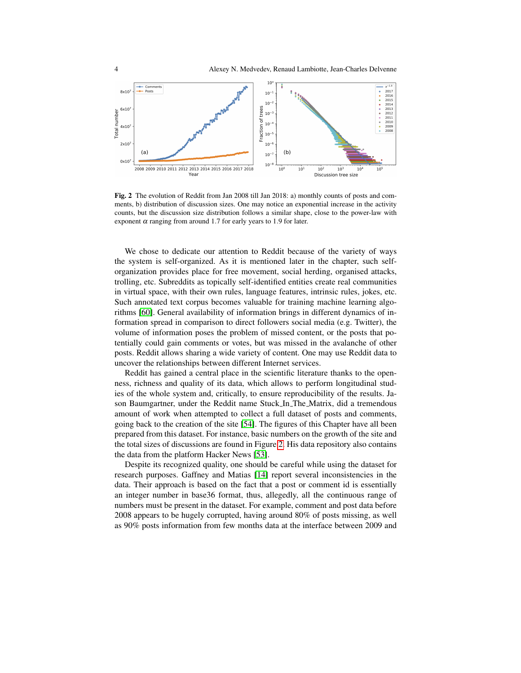

<span id="page-3-0"></span>Fig. 2 The evolution of Reddit from Jan 2008 till Jan 2018: a) monthly counts of posts and comments, b) distribution of discussion sizes. One may notice an exponential increase in the activity counts, but the discussion size distribution follows a similar shape, close to the power-law with exponent  $\alpha$  ranging from around 1.7 for early years to 1.9 for later.

We chose to dedicate our attention to Reddit because of the variety of ways the system is self-organized. As it is mentioned later in the chapter, such selforganization provides place for free movement, social herding, organised attacks, trolling, etc. Subreddits as topically self-identified entities create real communities in virtual space, with their own rules, language features, intrinsic rules, jokes, etc. Such annotated text corpus becomes valuable for training machine learning algorithms [\[60\]](#page-20-2). General availability of information brings in different dynamics of information spread in comparison to direct followers social media (e.g. Twitter), the volume of information poses the problem of missed content, or the posts that potentially could gain comments or votes, but was missed in the avalanche of other posts. Reddit allows sharing a wide variety of content. One may use Reddit data to uncover the relationships between different Internet services.

Reddit has gained a central place in the scientific literature thanks to the openness, richness and quality of its data, which allows to perform longitudinal studies of the whole system and, critically, to ensure reproducibility of the results. Jason Baumgartner, under the Reddit name Stuck In The Matrix, did a tremendous amount of work when attempted to collect a full dataset of posts and comments, going back to the creation of the site [\[54\]](#page-20-3). The figures of this Chapter have all been prepared from this dataset. For instance, basic numbers on the growth of the site and the total sizes of discussions are found in Figure [2.](#page-3-0) His data repository also contains the data from the platform Hacker News [\[53\]](#page-20-4).

Despite its recognized quality, one should be careful while using the dataset for research purposes. Gaffney and Matias [\[14\]](#page-18-1) report several inconsistencies in the data. Their approach is based on the fact that a post or comment id is essentially an integer number in base36 format, thus, allegedly, all the continuous range of numbers must be present in the dataset. For example, comment and post data before 2008 appears to be hugely corrupted, having around 80% of posts missing, as well as 90% posts information from few months data at the interface between 2009 and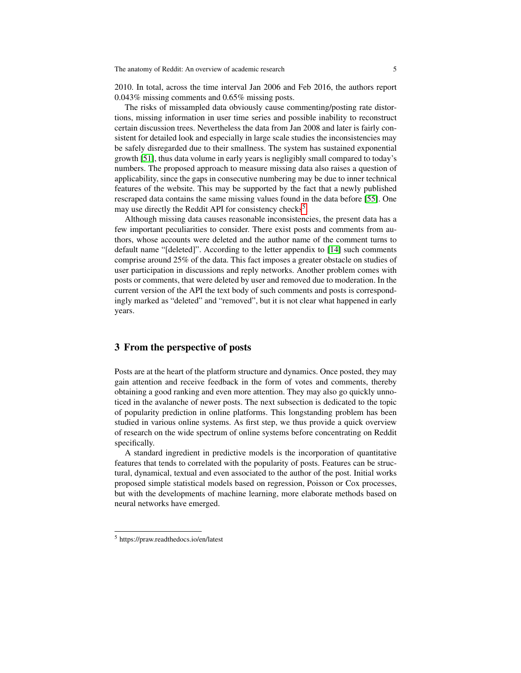2010. In total, across the time interval Jan 2006 and Feb 2016, the authors report 0.043% missing comments and 0.65% missing posts.

The risks of missampled data obviously cause commenting/posting rate distortions, missing information in user time series and possible inability to reconstruct certain discussion trees. Nevertheless the data from Jan 2008 and later is fairly consistent for detailed look and especially in large scale studies the inconsistencies may be safely disregarded due to their smallness. The system has sustained exponential growth [\[51\]](#page-20-1), thus data volume in early years is negligibly small compared to today's numbers. The proposed approach to measure missing data also raises a question of applicability, since the gaps in consecutive numbering may be due to inner technical features of the website. This may be supported by the fact that a newly published rescraped data contains the same missing values found in the data before [\[55\]](#page-20-5). One may use directly the Reddit API for consistency checks<sup>[5](#page-4-1)</sup>.

Although missing data causes reasonable inconsistencies, the present data has a few important peculiarities to consider. There exist posts and comments from authors, whose accounts were deleted and the author name of the comment turns to default name "[deleted]". According to the letter appendix to [\[14\]](#page-18-1) such comments comprise around 25% of the data. This fact imposes a greater obstacle on studies of user participation in discussions and reply networks. Another problem comes with posts or comments, that were deleted by user and removed due to moderation. In the current version of the API the text body of such comments and posts is correspondingly marked as "deleted" and "removed", but it is not clear what happened in early years.

#### <span id="page-4-0"></span>3 From the perspective of posts

Posts are at the heart of the platform structure and dynamics. Once posted, they may gain attention and receive feedback in the form of votes and comments, thereby obtaining a good ranking and even more attention. They may also go quickly unnoticed in the avalanche of newer posts. The next subsection is dedicated to the topic of popularity prediction in online platforms. This longstanding problem has been studied in various online systems. As first step, we thus provide a quick overview of research on the wide spectrum of online systems before concentrating on Reddit specifically.

A standard ingredient in predictive models is the incorporation of quantitative features that tends to correlated with the popularity of posts. Features can be structural, dynamical, textual and even associated to the author of the post. Initial works proposed simple statistical models based on regression, Poisson or Cox processes, but with the developments of machine learning, more elaborate methods based on neural networks have emerged.

<span id="page-4-1"></span><sup>5</sup> https://praw.readthedocs.io/en/latest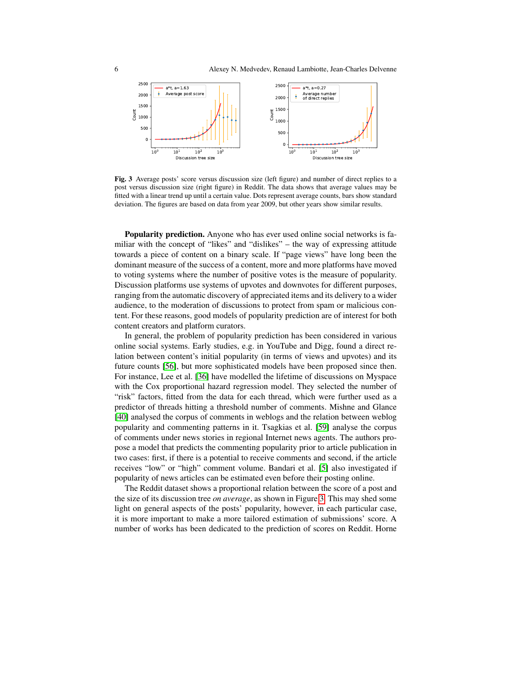

<span id="page-5-0"></span>Fig. 3 Average posts' score versus discussion size (left figure) and number of direct replies to a post versus discussion size (right figure) in Reddit. The data shows that average values may be fitted with a linear trend up until a certain value. Dots represent average counts, bars show standard deviation. The figures are based on data from year 2009, but other years show similar results.

Popularity prediction. Anyone who has ever used online social networks is familiar with the concept of "likes" and "dislikes" – the way of expressing attitude towards a piece of content on a binary scale. If "page views" have long been the dominant measure of the success of a content, more and more platforms have moved to voting systems where the number of positive votes is the measure of popularity. Discussion platforms use systems of upvotes and downvotes for different purposes, ranging from the automatic discovery of appreciated items and its delivery to a wider audience, to the moderation of discussions to protect from spam or malicious content. For these reasons, good models of popularity prediction are of interest for both content creators and platform curators.

In general, the problem of popularity prediction has been considered in various online social systems. Early studies, e.g. in YouTube and Digg, found a direct relation between content's initial popularity (in terms of views and upvotes) and its future counts [\[56\]](#page-20-6), but more sophisticated models have been proposed since then. For instance, Lee et al. [\[36\]](#page-19-1) have modelled the lifetime of discussions on Myspace with the Cox proportional hazard regression model. They selected the number of "risk" factors, fitted from the data for each thread, which were further used as a predictor of threads hitting a threshold number of comments. Mishne and Glance [\[40\]](#page-19-2) analysed the corpus of comments in weblogs and the relation between weblog popularity and commenting patterns in it. Tsagkias et al. [\[59\]](#page-20-7) analyse the corpus of comments under news stories in regional Internet news agents. The authors propose a model that predicts the commenting popularity prior to article publication in two cases: first, if there is a potential to receive comments and second, if the article receives "low" or "high" comment volume. Bandari et al. [\[5\]](#page-17-3) also investigated if popularity of news articles can be estimated even before their posting online.

The Reddit dataset shows a proportional relation between the score of a post and the size of its discussion tree *on average*, as shown in Figure [3.](#page-5-0) This may shed some light on general aspects of the posts' popularity, however, in each particular case, it is more important to make a more tailored estimation of submissions' score. A number of works has been dedicated to the prediction of scores on Reddit. Horne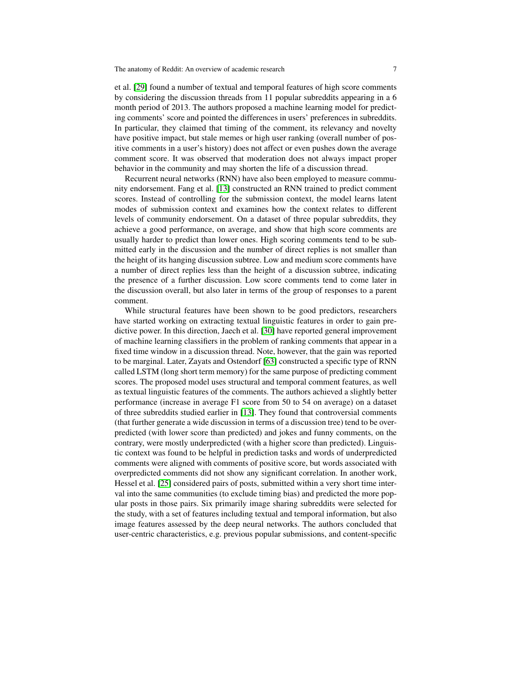et al. [\[29\]](#page-19-3) found a number of textual and temporal features of high score comments by considering the discussion threads from 11 popular subreddits appearing in a 6 month period of 2013. The authors proposed a machine learning model for predicting comments' score and pointed the differences in users' preferences in subreddits. In particular, they claimed that timing of the comment, its relevancy and novelty have positive impact, but stale memes or high user ranking (overall number of positive comments in a user's history) does not affect or even pushes down the average comment score. It was observed that moderation does not always impact proper behavior in the community and may shorten the life of a discussion thread.

Recurrent neural networks (RNN) have also been employed to measure community endorsement. Fang et al. [\[13\]](#page-18-2) constructed an RNN trained to predict comment scores. Instead of controlling for the submission context, the model learns latent modes of submission context and examines how the context relates to different levels of community endorsement. On a dataset of three popular subreddits, they achieve a good performance, on average, and show that high score comments are usually harder to predict than lower ones. High scoring comments tend to be submitted early in the discussion and the number of direct replies is not smaller than the height of its hanging discussion subtree. Low and medium score comments have a number of direct replies less than the height of a discussion subtree, indicating the presence of a further discussion. Low score comments tend to come later in the discussion overall, but also later in terms of the group of responses to a parent comment.

While structural features have been shown to be good predictors, researchers have started working on extracting textual linguistic features in order to gain predictive power. In this direction, Jaech et al. [\[30\]](#page-19-4) have reported general improvement of machine learning classifiers in the problem of ranking comments that appear in a fixed time window in a discussion thread. Note, however, that the gain was reported to be marginal. Later, Zayats and Ostendorf [\[63\]](#page-20-8) constructed a specific type of RNN called LSTM (long short term memory) for the same purpose of predicting comment scores. The proposed model uses structural and temporal comment features, as well as textual linguistic features of the comments. The authors achieved a slightly better performance (increase in average F1 score from 50 to 54 on average) on a dataset of three subreddits studied earlier in [\[13\]](#page-18-2). They found that controversial comments (that further generate a wide discussion in terms of a discussion tree) tend to be overpredicted (with lower score than predicted) and jokes and funny comments, on the contrary, were mostly underpredicted (with a higher score than predicted). Linguistic context was found to be helpful in prediction tasks and words of underpredicted comments were aligned with comments of positive score, but words associated with overpredicted comments did not show any significant correlation. In another work, Hessel et al. [\[25\]](#page-18-3) considered pairs of posts, submitted within a very short time interval into the same communities (to exclude timing bias) and predicted the more popular posts in those pairs. Six primarily image sharing subreddits were selected for the study, with a set of features including textual and temporal information, but also image features assessed by the deep neural networks. The authors concluded that user-centric characteristics, e.g. previous popular submissions, and content-specific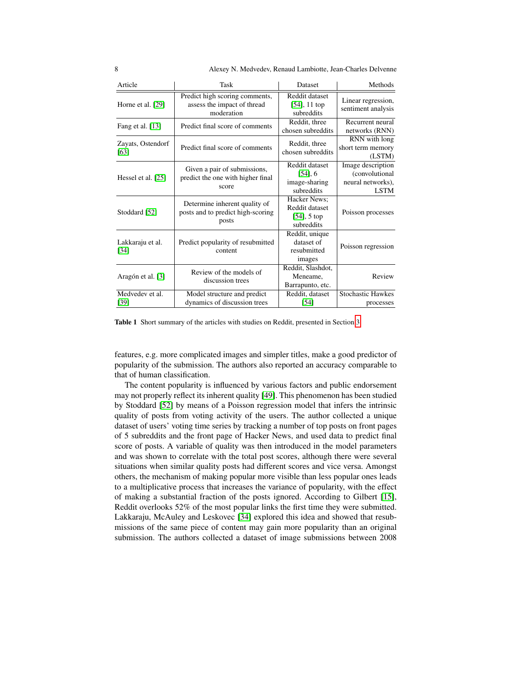| Article                   | Task                                                                        | Dataset                                                     | Methods                                                                  |
|---------------------------|-----------------------------------------------------------------------------|-------------------------------------------------------------|--------------------------------------------------------------------------|
| Horne et al. [29]         | Predict high scoring comments,<br>assess the impact of thread<br>moderation | Reddit dataset<br>[54], 11 top<br>subreddits                | Linear regression,<br>sentiment analysis                                 |
| Fang et al. [13]          | Predict final score of comments                                             | Reddit, three<br>chosen subreddits                          | Recurrent neural<br>networks (RNN)                                       |
| Zayats, Ostendorf<br>[63] | Predict final score of comments                                             | Reddit, three<br>chosen subreddits                          | RNN with long<br>short term memory<br>(LSTM)                             |
| Hessel et al. [25]        | Given a pair of submissions,<br>predict the one with higher final<br>score  | Reddit dataset<br>$[54]$ , 6<br>image-sharing<br>subreddits | Image description<br>(convolutional)<br>neural networks),<br><b>LSTM</b> |
| Stoddard [52]             | Determine inherent quality of<br>posts and to predict high-scoring<br>posts | Hacker News:<br>Reddit dataset<br>[54], 5 top<br>subreddits | Poisson processes                                                        |
| Lakkaraju et al.<br>[34]  | Predict popularity of resubmitted<br>content                                | Reddit, unique<br>dataset of<br>resubmitted<br>images       | Poisson regression                                                       |
| Aragón et al. [3]         | Review of the models of<br>discussion trees                                 | Reddit, Slashdot,<br>Meneame,<br>Barrapunto, etc.           | Review                                                                   |
| Medvedev et al.<br>$[39]$ | Model structure and predict<br>dynamics of discussion trees                 | Reddit, dataset<br>[54]                                     | <b>Stochastic Hawkes</b><br>processes                                    |

Table 1 Short summary of the articles with studies on Reddit, presented in Section [3](#page-4-0)

features, e.g. more complicated images and simpler titles, make a good predictor of popularity of the submission. The authors also reported an accuracy comparable to that of human classification.

The content popularity is influenced by various factors and public endorsement may not properly reflect its inherent quality [\[49\]](#page-19-7). This phenomenon has been studied by Stoddard [\[52\]](#page-20-9) by means of a Poisson regression model that infers the intrinsic quality of posts from voting activity of the users. The author collected a unique dataset of users' voting time series by tracking a number of top posts on front pages of 5 subreddits and the front page of Hacker News, and used data to predict final score of posts. A variable of quality was then introduced in the model parameters and was shown to correlate with the total post scores, although there were several situations when similar quality posts had different scores and vice versa. Amongst others, the mechanism of making popular more visible than less popular ones leads to a multiplicative process that increases the variance of popularity, with the effect of making a substantial fraction of the posts ignored. According to Gilbert [\[15\]](#page-18-4), Reddit overlooks 52% of the most popular links the first time they were submitted. Lakkaraju, McAuley and Leskovec [\[34\]](#page-19-5) explored this idea and showed that resubmissions of the same piece of content may gain more popularity than an original submission. The authors collected a dataset of image submissions between 2008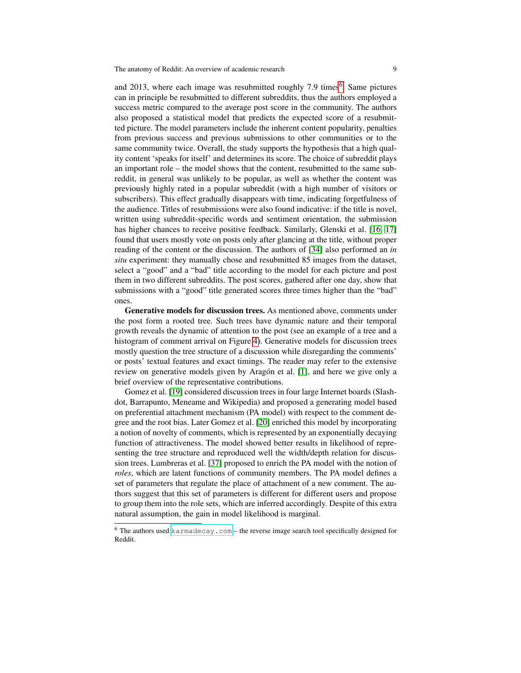and 2013, where each image was resubmitted roughly  $7.9$  times<sup>[6](#page-8-0)</sup>. Same pictures can in principle be resubmitted to different subreddits, thus the authors employed a success metric compared to the average post score in the community. The authors also proposed a statistical model that predicts the expected score of a resubmitted picture. The model parameters include the inherent content popularity, penalties from previous success and previous submissions to other communities or to the same community twice. Overall, the study supports the hypothesis that a high quality content 'speaks for itself' and determines its score. The choice of subreddit plays an important role – the model shows that the content, resubmitted to the same subreddit, in general was unlikely to be popular, as well as whether the content was previously highly rated in a popular subreddit (with a high number of visitors or subscribers). This effect gradually disappears with time, indicating forgetfulness of the audience. Titles of resubmissions were also found indicative: if the title is novel, written using subreddit-specific words and sentiment orientation, the submission has higher chances to receive positive feedback. Similarly, Glenski et al. [\[16,](#page-18-5) [17\]](#page-18-6) found that users mostly vote on posts only after glancing at the title, without proper reading of the content or the discussion. The authors of [\[34\]](#page-19-5) also performed an *in situ* experiment: they manually chose and resubmitted 85 images from the dataset, select a "good" and a "bad" title according to the model for each picture and post them in two different subreddits. The post scores, gathered after one day, show that submissions with a "good" title generated scores three times higher than the "bad" ones.

Generative models for discussion trees. As mentioned above, comments under the post form a rooted tree. Such trees have dynamic nature and their temporal growth reveals the dynamic of attention to the post (see an example of a tree and a histogram of comment arrival on Figure [4\)](#page-9-0). Generative models for discussion trees mostly question the tree structure of a discussion while disregarding the comments' or posts' textual features and exact timings. The reader may refer to the extensive review on generative models given by Aragón et al. [\[1\]](#page-17-1), and here we give only a brief overview of the representative contributions.

Gomez et al. [\[19\]](#page-18-0) considered discussion trees in four large Internet boards (Slashdot, Barrapunto, Meneame and Wikipedia) and proposed a generating model based on preferential attachment mechanism (PA model) with respect to the comment degree and the root bias. Later Gomez et al. [\[20\]](#page-18-7) enriched this model by incorporating a notion of novelty of comments, which is represented by an exponentially decaying function of attractiveness. The model showed better results in likelihood of representing the tree structure and reproduced well the width/depth relation for discussion trees. Lumbreras et al. [\[37\]](#page-19-8) proposed to enrich the PA model with the notion of *roles*, which are latent functions of community members. The PA model defines a set of parameters that regulate the place of attachment of a new comment. The authors suggest that this set of parameters is different for different users and propose to group them into the role sets, which are inferred accordingly. Despite of this extra natural assumption, the gain in model likelihood is marginal.

<span id="page-8-0"></span> $6$  The authors used <karmadecay.com> – the reverse image search tool specifically designed for Reddit.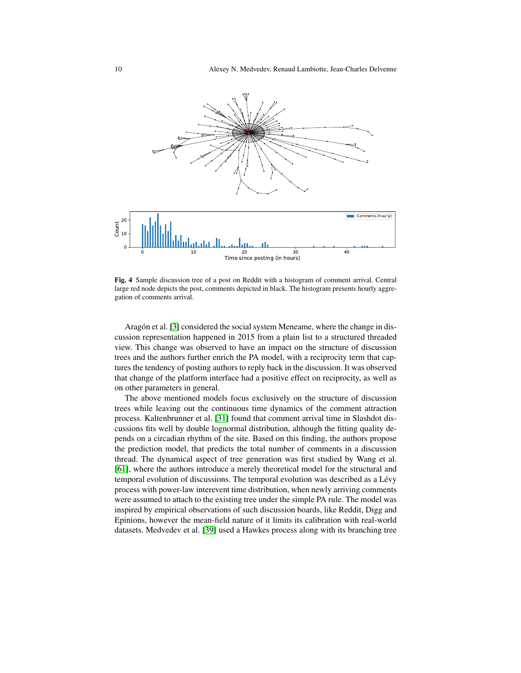

<span id="page-9-0"></span>Fig. 4 Sample discussion tree of a post on Reddit with a histogram of comment arrival. Central large red node depicts the post, comments depicted in black. The histogram presents hourly aggregation of comments arrival.

Aragón et al. [\[3\]](#page-17-4) considered the social system Meneame, where the change in discussion representation happened in 2015 from a plain list to a structured threaded view. This change was observed to have an impact on the structure of discussion trees and the authors further enrich the PA model, with a reciprocity term that captures the tendency of posting authors to reply back in the discussion. It was observed that change of the platform interface had a positive effect on reciprocity, as well as on other parameters in general.

The above mentioned models focus exclusively on the structure of discussion trees while leaving out the continuous time dynamics of the comment attraction process. Kaltenbrunner et al. [\[31\]](#page-19-9) found that comment arrival time in Slashdot discussions fits well by double lognormal distribution, although the fitting quality depends on a circadian rhythm of the site. Based on this finding, the authors propose the prediction model, that predicts the total number of comments in a discussion thread. The dynamical aspect of tree generation was first studied by Wang et al. [\[61\]](#page-20-10), where the authors introduce a merely theoretical model for the structural and temporal evolution of discussions. The temporal evolution was described as a Levy ´ process with power-law interevent time distribution, when newly arriving comments were assumed to attach to the existing tree under the simple PA rule. The model was inspired by empirical observations of such discussion boards, like Reddit, Digg and Epinions, however the mean-field nature of it limits its calibration with real-world datasets. Medvedev et al. [\[39\]](#page-19-6) used a Hawkes process along with its branching tree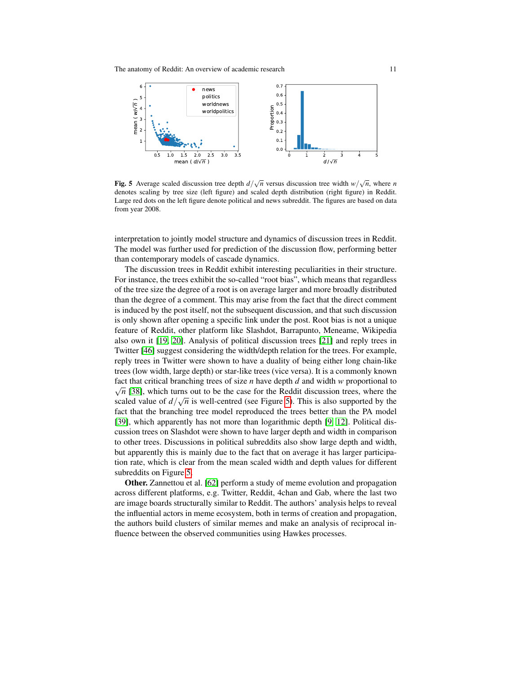

<span id="page-10-0"></span>Fig. 5 Average scaled discussion tree depth  $d/\sqrt{n}$  versus discussion tree width  $w/\sqrt{n}$ , where *n* denotes scaling by tree size (left figure) and scaled depth distribution (right figure) in Reddit. Large red dots on the left figure denote political and news subreddit. The figures are based on data from year 2008.

interpretation to jointly model structure and dynamics of discussion trees in Reddit. The model was further used for prediction of the discussion flow, performing better than contemporary models of cascade dynamics.

The discussion trees in Reddit exhibit interesting peculiarities in their structure. For instance, the trees exhibit the so-called "root bias", which means that regardless of the tree size the degree of a root is on average larger and more broadly distributed than the degree of a comment. This may arise from the fact that the direct comment is induced by the post itself, not the subsequent discussion, and that such discussion is only shown after opening a specific link under the post. Root bias is not a unique feature of Reddit, other platform like Slashdot, Barrapunto, Meneame, Wikipedia also own it [\[19,](#page-18-0) [20\]](#page-18-7). Analysis of political discussion trees [\[21\]](#page-18-8) and reply trees in Twitter [\[46\]](#page-19-10) suggest considering the width/depth relation for the trees. For example, reply trees in Twitter were shown to have a duality of being either long chain-like trees (low width, large depth) or star-like trees (vice versa). It is a commonly known fact that critical branching trees of size *n* have depth *d* and width *w* proportional to √  $\overline{n}$  [\[38\]](#page-19-11), which turns out to be the case for the Reddit discussion trees, where the scaled value of  $d/\sqrt{n}$  is well-centred (see Figure [5\)](#page-10-0). This is also supported by the fact that the branching tree model reproduced the trees better than the PA model [\[39\]](#page-19-6), which apparently has not more than logarithmic depth [\[9,](#page-18-9) [12\]](#page-18-10). Political discussion trees on Slashdot were shown to have larger depth and width in comparison to other trees. Discussions in political subreddits also show large depth and width, but apparently this is mainly due to the fact that on average it has larger participation rate, which is clear from the mean scaled width and depth values for different subreddits on Figure [5.](#page-10-0)

Other. Zannettou et al. [\[62\]](#page-20-11) perform a study of meme evolution and propagation across different platforms, e.g. Twitter, Reddit, 4chan and Gab, where the last two are image boards structurally similar to Reddit. The authors' analysis helps to reveal the influential actors in meme ecosystem, both in terms of creation and propagation, the authors build clusters of similar memes and make an analysis of reciprocal influence between the observed communities using Hawkes processes.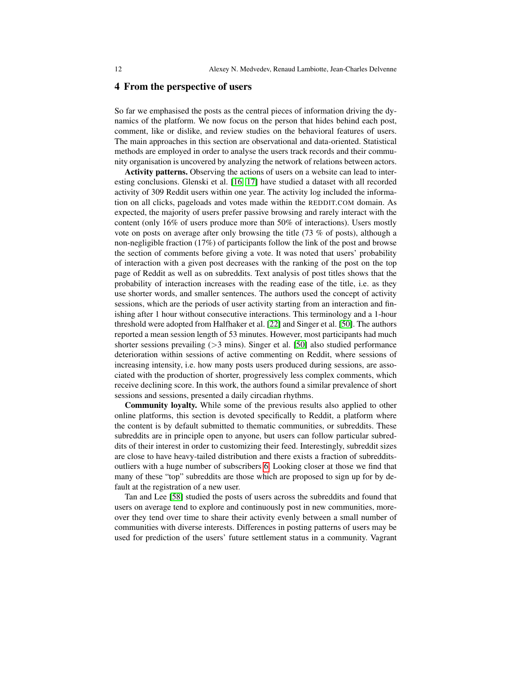#### <span id="page-11-0"></span>4 From the perspective of users

So far we emphasised the posts as the central pieces of information driving the dynamics of the platform. We now focus on the person that hides behind each post, comment, like or dislike, and review studies on the behavioral features of users. The main approaches in this section are observational and data-oriented. Statistical methods are employed in order to analyse the users track records and their community organisation is uncovered by analyzing the network of relations between actors.

Activity patterns. Observing the actions of users on a website can lead to interesting conclusions. Glenski et al. [\[16,](#page-18-5) [17\]](#page-18-6) have studied a dataset with all recorded activity of 309 Reddit users within one year. The activity log included the information on all clicks, pageloads and votes made within the REDDIT.COM domain. As expected, the majority of users prefer passive browsing and rarely interact with the content (only 16% of users produce more than 50% of interactions). Users mostly vote on posts on average after only browsing the title (73 % of posts), although a non-negligible fraction (17%) of participants follow the link of the post and browse the section of comments before giving a vote. It was noted that users' probability of interaction with a given post decreases with the ranking of the post on the top page of Reddit as well as on subreddits. Text analysis of post titles shows that the probability of interaction increases with the reading ease of the title, i.e. as they use shorter words, and smaller sentences. The authors used the concept of activity sessions, which are the periods of user activity starting from an interaction and finishing after 1 hour without consecutive interactions. This terminology and a 1-hour threshold were adopted from Halfhaker et al. [\[22\]](#page-18-11) and Singer et al. [\[50\]](#page-19-12). The authors reported a mean session length of 53 minutes. However, most participants had much shorter sessions prevailing  $(>\frac{3}{2}$  mins). Singer et al. [\[50\]](#page-19-12) also studied performance deterioration within sessions of active commenting on Reddit, where sessions of increasing intensity, i.e. how many posts users produced during sessions, are associated with the production of shorter, progressively less complex comments, which receive declining score. In this work, the authors found a similar prevalence of short sessions and sessions, presented a daily circadian rhythms.

Community loyalty. While some of the previous results also applied to other online platforms, this section is devoted specifically to Reddit, a platform where the content is by default submitted to thematic communities, or subreddits. These subreddits are in principle open to anyone, but users can follow particular subreddits of their interest in order to customizing their feed. Interestingly, subreddit sizes are close to have heavy-tailed distribution and there exists a fraction of subredditsoutliers with a huge number of subscribers [6.](#page-12-0) Looking closer at those we find that many of these "top" subreddits are those which are proposed to sign up for by default at the registration of a new user.

Tan and Lee [\[58\]](#page-20-12) studied the posts of users across the subreddits and found that users on average tend to explore and continuously post in new communities, moreover they tend over time to share their activity evenly between a small number of communities with diverse interests. Differences in posting patterns of users may be used for prediction of the users' future settlement status in a community. Vagrant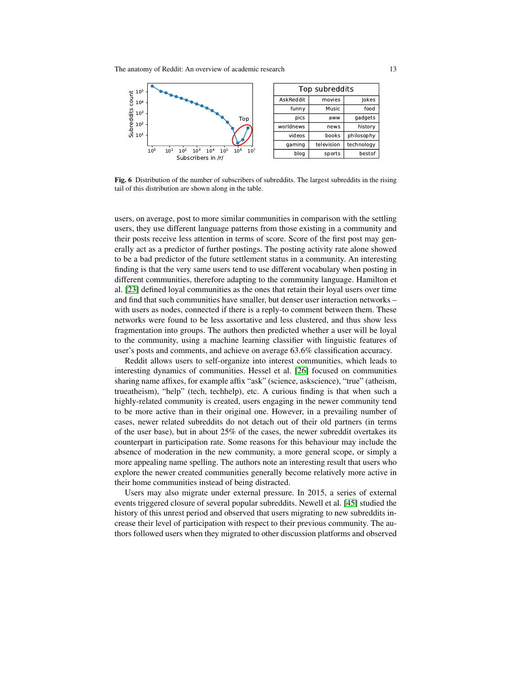

<span id="page-12-0"></span>Fig. 6 Distribution of the number of subscribers of subreddits. The largest subreddits in the rising tail of this distribution are shown along in the table.

users, on average, post to more similar communities in comparison with the settling users, they use different language patterns from those existing in a community and their posts receive less attention in terms of score. Score of the first post may generally act as a predictor of further postings. The posting activity rate alone showed to be a bad predictor of the future settlement status in a community. An interesting finding is that the very same users tend to use different vocabulary when posting in different communities, therefore adapting to the community language. Hamilton et al. [\[23\]](#page-18-12) defined loyal communities as the ones that retain their loyal users over time and find that such communities have smaller, but denser user interaction networks – with users as nodes, connected if there is a reply-to comment between them. These networks were found to be less assortative and less clustered, and thus show less fragmentation into groups. The authors then predicted whether a user will be loyal to the community, using a machine learning classifier with linguistic features of user's posts and comments, and achieve on average 63.6% classification accuracy.

Reddit allows users to self-organize into interest communities, which leads to interesting dynamics of communities. Hessel et al. [\[26\]](#page-18-13) focused on communities sharing name affixes, for example affix "ask" (science, askscience), "true" (atheism, trueatheism), "help" (tech, techhelp), etc. A curious finding is that when such a highly-related community is created, users engaging in the newer community tend to be more active than in their original one. However, in a prevailing number of cases, newer related subreddits do not detach out of their old partners (in terms of the user base), but in about 25% of the cases, the newer subreddit overtakes its counterpart in participation rate. Some reasons for this behaviour may include the absence of moderation in the new community, a more general scope, or simply a more appealing name spelling. The authors note an interesting result that users who explore the newer created communities generally become relatively more active in their home communities instead of being distracted.

Users may also migrate under external pressure. In 2015, a series of external events triggered closure of several popular subreddits. Newell et al. [\[45\]](#page-19-13) studied the history of this unrest period and observed that users migrating to new subreddits increase their level of participation with respect to their previous community. The authors followed users when they migrated to other discussion platforms and observed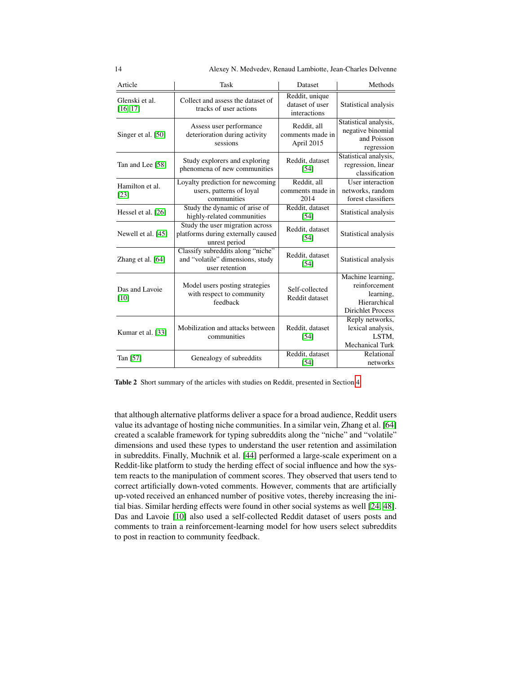| Article                    | Task                                                                                    | <b>Dataset</b>                                    | Methods                                                                                     |
|----------------------------|-----------------------------------------------------------------------------------------|---------------------------------------------------|---------------------------------------------------------------------------------------------|
| Glenski et al.<br>[16, 17] | Collect and assess the dataset of<br>tracks of user actions                             | Reddit, unique<br>dataset of user<br>interactions | Statistical analysis                                                                        |
| Singer et al. [50]         | Assess user performance<br>deterioration during activity<br>sessions                    | Reddit, all<br>comments made in<br>April 2015     | Statistical analysis,<br>negative binomial<br>and Poisson<br>regression                     |
| Tan and Lee [58]           | Study explorers and exploring<br>phenomena of new communities                           | Reddit, dataset<br>$[54]$                         | Statistical analysis,<br>regression, linear<br>classification                               |
| Hamilton et al.<br>$[23]$  | Loyalty prediction for newcoming<br>users, patterns of loyal<br>communities             | Reddit, all<br>comments made in<br>2014           | User interaction<br>networks, random<br>forest classifiers                                  |
| Hessel et al. [26]         | Study the dynamic of arise of<br>highly-related communities                             | Reddit, dataset<br>$[54]$                         | Statistical analysis                                                                        |
| Newell et al. [45]         | Study the user migration across<br>platforms during externally caused<br>unrest period  | Reddit, dataset<br>$[54]$                         | Statistical analysis                                                                        |
| Zhang et al. $[64]$        | Classify subreddits along "niche"<br>and "volatile" dimensions, study<br>user retention | Reddit, dataset<br>[54]                           | Statistical analysis                                                                        |
| Das and Lavoie<br>[10]     | Model users posting strategies<br>with respect to community<br>feedback                 | Self-collected<br>Reddit dataset                  | Machine learning,<br>reinforcement<br>learning,<br>Hierarchical<br><b>Dirichlet Process</b> |
| Kumar et al. [33]          | Mobilization and attacks between<br>communities                                         | Reddit, dataset<br>[54]                           | Reply networks,<br>lexical analysis,<br>LSTM.<br><b>Mechanical Turk</b>                     |
| Tan [57]                   | Genealogy of subreddits                                                                 | Reddit, dataset<br>$[54]$                         | Relational<br>networks                                                                      |

Table 2 Short summary of the articles with studies on Reddit, presented in Section [4](#page-11-0)

that although alternative platforms deliver a space for a broad audience, Reddit users value its advantage of hosting niche communities. In a similar vein, Zhang et al. [\[64\]](#page-20-13) created a scalable framework for typing subreddits along the "niche" and "volatile" dimensions and used these types to understand the user retention and assimilation in subreddits. Finally, Muchnik et al. [\[44\]](#page-19-15) performed a large-scale experiment on a Reddit-like platform to study the herding effect of social influence and how the system reacts to the manipulation of comment scores. They observed that users tend to correct artificially down-voted comments. However, comments that are artificially up-voted received an enhanced number of positive votes, thereby increasing the initial bias. Similar herding effects were found in other social systems as well [\[24,](#page-18-15) [48\]](#page-19-16). Das and Lavoie [\[10\]](#page-18-14) also used a self-collected Reddit dataset of users posts and comments to train a reinforcement-learning model for how users select subreddits to post in reaction to community feedback.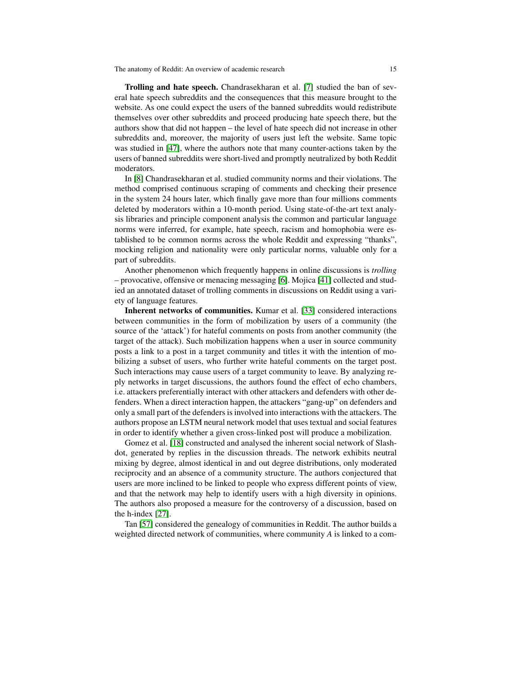Trolling and hate speech. Chandrasekharan et al. [\[7\]](#page-17-5) studied the ban of several hate speech subreddits and the consequences that this measure brought to the website. As one could expect the users of the banned subreddits would redistribute themselves over other subreddits and proceed producing hate speech there, but the authors show that did not happen – the level of hate speech did not increase in other subreddits and, moreover, the majority of users just left the website. Same topic was studied in [\[47\]](#page-19-17), where the authors note that many counter-actions taken by the users of banned subreddits were short-lived and promptly neutralized by both Reddit moderators.

In [\[8\]](#page-18-16) Chandrasekharan et al. studied community norms and their violations. The method comprised continuous scraping of comments and checking their presence in the system 24 hours later, which finally gave more than four millions comments deleted by moderators within a 10-month period. Using state-of-the-art text analysis libraries and principle component analysis the common and particular language norms were inferred, for example, hate speech, racism and homophobia were established to be common norms across the whole Reddit and expressing "thanks", mocking religion and nationality were only particular norms, valuable only for a part of subreddits.

Another phenomenon which frequently happens in online discussions is *trolling* – provocative, offensive or menacing messaging [\[6\]](#page-17-6). Mojica [\[41\]](#page-19-18) collected and studied an annotated dataset of trolling comments in discussions on Reddit using a variety of language features.

Inherent networks of communities. Kumar et al. [\[33\]](#page-19-14) considered interactions between communities in the form of mobilization by users of a community (the source of the 'attack') for hateful comments on posts from another community (the target of the attack). Such mobilization happens when a user in source community posts a link to a post in a target community and titles it with the intention of mobilizing a subset of users, who further write hateful comments on the target post. Such interactions may cause users of a target community to leave. By analyzing reply networks in target discussions, the authors found the effect of echo chambers, i.e. attackers preferentially interact with other attackers and defenders with other defenders. When a direct interaction happen, the attackers "gang-up" on defenders and only a small part of the defenders is involved into interactions with the attackers. The authors propose an LSTM neural network model that uses textual and social features in order to identify whether a given cross-linked post will produce a mobilization.

Gomez et al. [\[18\]](#page-18-17) constructed and analysed the inherent social network of Slashdot, generated by replies in the discussion threads. The network exhibits neutral mixing by degree, almost identical in and out degree distributions, only moderated reciprocity and an absence of a community structure. The authors conjectured that users are more inclined to be linked to people who express different points of view, and that the network may help to identify users with a high diversity in opinions. The authors also proposed a measure for the controversy of a discussion, based on the h-index [\[27\]](#page-18-18).

Tan [\[57\]](#page-20-14) considered the genealogy of communities in Reddit. The author builds a weighted directed network of communities, where community *A* is linked to a com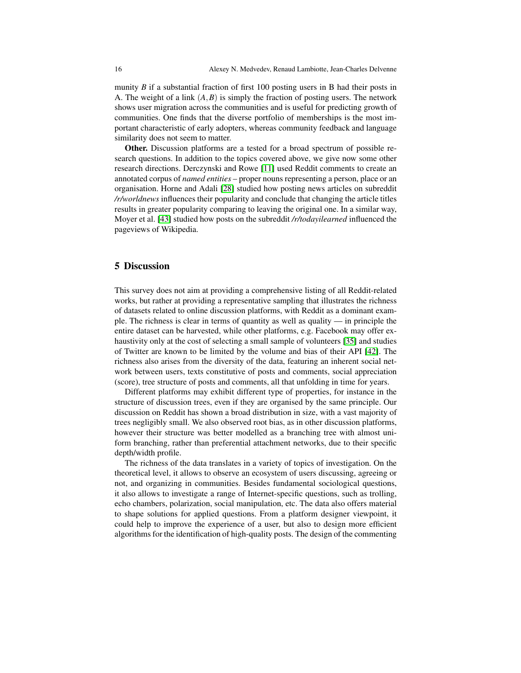munity *B* if a substantial fraction of first 100 posting users in B had their posts in A. The weight of a link (*A*,*B*) is simply the fraction of posting users. The network shows user migration across the communities and is useful for predicting growth of communities. One finds that the diverse portfolio of memberships is the most important characteristic of early adopters, whereas community feedback and language similarity does not seem to matter.

Other. Discussion platforms are a tested for a broad spectrum of possible research questions. In addition to the topics covered above, we give now some other research directions. Derczynski and Rowe [\[11\]](#page-18-19) used Reddit comments to create an annotated corpus of *named entities* – proper nouns representing a person, place or an organisation. Horne and Adali [\[28\]](#page-19-19) studied how posting news articles on subreddit */r/worldnews* influences their popularity and conclude that changing the article titles results in greater popularity comparing to leaving the original one. In a similar way, Moyer et al. [\[43\]](#page-19-20) studied how posts on the subreddit */r/todayilearned* influenced the pageviews of Wikipedia.

### 5 Discussion

This survey does not aim at providing a comprehensive listing of all Reddit-related works, but rather at providing a representative sampling that illustrates the richness of datasets related to online discussion platforms, with Reddit as a dominant example. The richness is clear in terms of quantity as well as quality — in principle the entire dataset can be harvested, while other platforms, e.g. Facebook may offer exhaustivity only at the cost of selecting a small sample of volunteers [\[35\]](#page-19-21) and studies of Twitter are known to be limited by the volume and bias of their API [\[42\]](#page-19-22). The richness also arises from the diversity of the data, featuring an inherent social network between users, texts constitutive of posts and comments, social appreciation (score), tree structure of posts and comments, all that unfolding in time for years.

Different platforms may exhibit different type of properties, for instance in the structure of discussion trees, even if they are organised by the same principle. Our discussion on Reddit has shown a broad distribution in size, with a vast majority of trees negligibly small. We also observed root bias, as in other discussion platforms, however their structure was better modelled as a branching tree with almost uniform branching, rather than preferential attachment networks, due to their specific depth/width profile.

The richness of the data translates in a variety of topics of investigation. On the theoretical level, it allows to observe an ecosystem of users discussing, agreeing or not, and organizing in communities. Besides fundamental sociological questions, it also allows to investigate a range of Internet-specific questions, such as trolling, echo chambers, polarization, social manipulation, etc. The data also offers material to shape solutions for applied questions. From a platform designer viewpoint, it could help to improve the experience of a user, but also to design more efficient algorithms for the identification of high-quality posts. The design of the commenting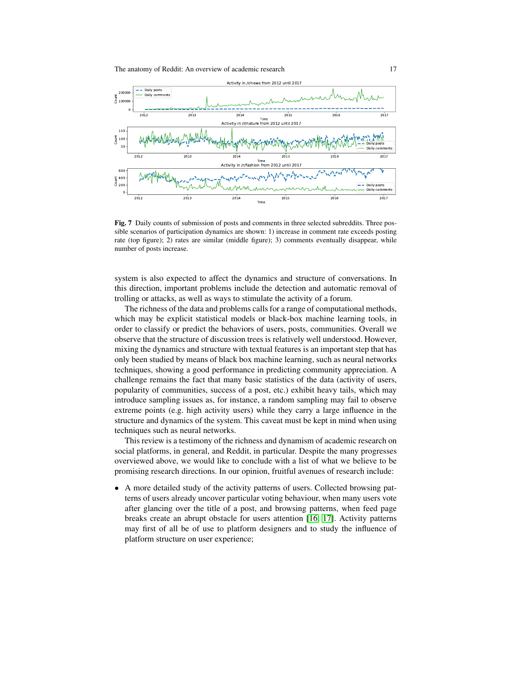

<span id="page-16-0"></span>Fig. 7 Daily counts of submission of posts and comments in three selected subreddits. Three possible scenarios of participation dynamics are shown: 1) increase in comment rate exceeds posting rate (top figure); 2) rates are similar (middle figure); 3) comments eventually disappear, while number of posts increase.

system is also expected to affect the dynamics and structure of conversations. In this direction, important problems include the detection and automatic removal of trolling or attacks, as well as ways to stimulate the activity of a forum.

The richness of the data and problems calls for a range of computational methods, which may be explicit statistical models or black-box machine learning tools, in order to classify or predict the behaviors of users, posts, communities. Overall we observe that the structure of discussion trees is relatively well understood. However, mixing the dynamics and structure with textual features is an important step that has only been studied by means of black box machine learning, such as neural networks techniques, showing a good performance in predicting community appreciation. A challenge remains the fact that many basic statistics of the data (activity of users, popularity of communities, success of a post, etc.) exhibit heavy tails, which may introduce sampling issues as, for instance, a random sampling may fail to observe extreme points (e.g. high activity users) while they carry a large influence in the structure and dynamics of the system. This caveat must be kept in mind when using techniques such as neural networks.

This review is a testimony of the richness and dynamism of academic research on social platforms, in general, and Reddit, in particular. Despite the many progresses overviewed above, we would like to conclude with a list of what we believe to be promising research directions. In our opinion, fruitful avenues of research include:

• A more detailed study of the activity patterns of users. Collected browsing patterns of users already uncover particular voting behaviour, when many users vote after glancing over the title of a post, and browsing patterns, when feed page breaks create an abrupt obstacle for users attention [\[16,](#page-18-5) [17\]](#page-18-6). Activity patterns may first of all be of use to platform designers and to study the influence of platform structure on user experience;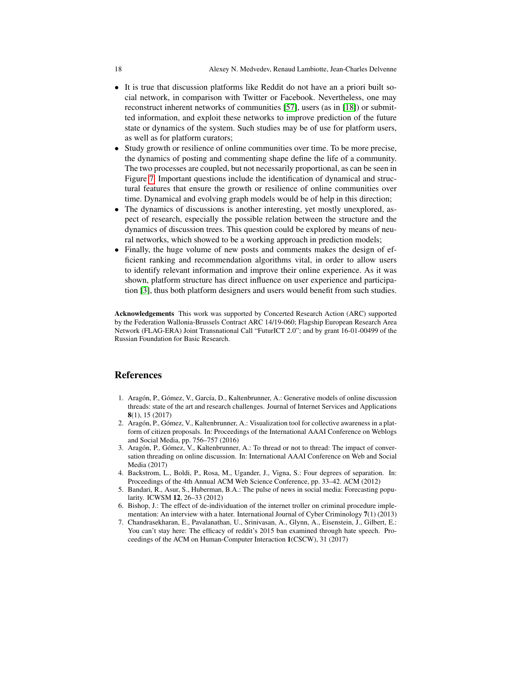- It is true that discussion platforms like Reddit do not have an a priori built social network, in comparison with Twitter or Facebook. Nevertheless, one may reconstruct inherent networks of communities [\[57\]](#page-20-14), users (as in [\[18\]](#page-18-17)) or submitted information, and exploit these networks to improve prediction of the future state or dynamics of the system. Such studies may be of use for platform users, as well as for platform curators;
- Study growth or resilience of online communities over time. To be more precise, the dynamics of posting and commenting shape define the life of a community. The two processes are coupled, but not necessarily proportional, as can be seen in Figure [7.](#page-16-0) Important questions include the identification of dynamical and structural features that ensure the growth or resilience of online communities over time. Dynamical and evolving graph models would be of help in this direction;
- The dynamics of discussions is another interesting, yet mostly unexplored, aspect of research, especially the possible relation between the structure and the dynamics of discussion trees. This question could be explored by means of neural networks, which showed to be a working approach in prediction models;
- Finally, the huge volume of new posts and comments makes the design of efficient ranking and recommendation algorithms vital, in order to allow users to identify relevant information and improve their online experience. As it was shown, platform structure has direct influence on user experience and participation [\[3\]](#page-17-4), thus both platform designers and users would benefit from such studies.

Acknowledgements This work was supported by Concerted Research Action (ARC) supported by the Federation Wallonia-Brussels Contract ARC 14/19-060; Flagship European Research Area Network (FLAG-ERA) Joint Transnational Call "FuturICT 2.0"; and by grant 16-01-00499 of the Russian Foundation for Basic Research.

#### References

- <span id="page-17-1"></span>1. Aragón, P., Gómez, V., García, D., Kaltenbrunner, A.: Generative models of online discussion threads: state of the art and research challenges. Journal of Internet Services and Applications 8(1), 15 (2017)
- <span id="page-17-2"></span>2. Aragón, P., Gómez, V., Kaltenbrunner, A.: Visualization tool for collective awareness in a platform of citizen proposals. In: Proceedings of the International AAAI Conference on Weblogs and Social Media, pp. 756–757 (2016)
- <span id="page-17-4"></span>3. Aragón, P., Gómez, V., Kaltenbrunner, A.: To thread or not to thread: The impact of conversation threading on online discussion. In: International AAAI Conference on Web and Social Media (2017)
- <span id="page-17-0"></span>4. Backstrom, L., Boldi, P., Rosa, M., Ugander, J., Vigna, S.: Four degrees of separation. In: Proceedings of the 4th Annual ACM Web Science Conference, pp. 33–42. ACM (2012)
- <span id="page-17-3"></span>5. Bandari, R., Asur, S., Huberman, B.A.: The pulse of news in social media: Forecasting popularity. ICWSM 12, 26–33 (2012)
- <span id="page-17-6"></span>6. Bishop, J.: The effect of de-individuation of the internet troller on criminal procedure implementation: An interview with a hater. International Journal of Cyber Criminology 7(1) (2013)
- <span id="page-17-5"></span>7. Chandrasekharan, E., Pavalanathan, U., Srinivasan, A., Glynn, A., Eisenstein, J., Gilbert, E.: You can't stay here: The efficacy of reddit's 2015 ban examined through hate speech. Proceedings of the ACM on Human-Computer Interaction 1(CSCW), 31 (2017)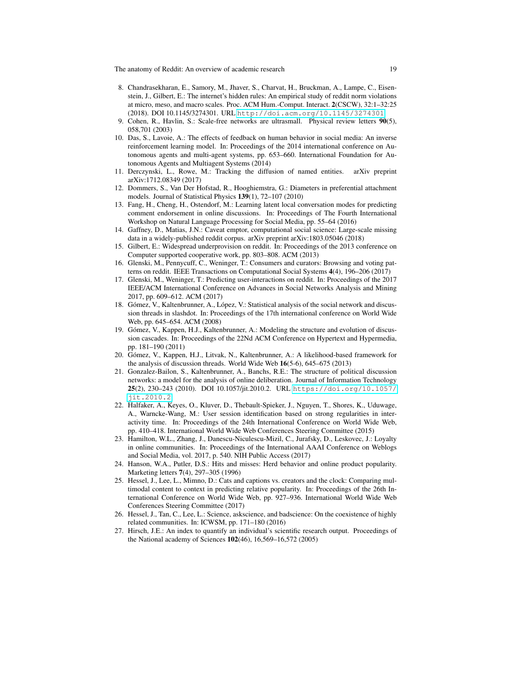The anatomy of Reddit: An overview of academic research 19

- <span id="page-18-16"></span>8. Chandrasekharan, E., Samory, M., Jhaver, S., Charvat, H., Bruckman, A., Lampe, C., Eisenstein, J., Gilbert, E.: The internet's hidden rules: An empirical study of reddit norm violations at micro, meso, and macro scales. Proc. ACM Hum.-Comput. Interact. 2(CSCW), 32:1–32:25 (2018). DOI 10.1145/3274301. URL <http://doi.acm.org/10.1145/3274301>
- <span id="page-18-9"></span>Cohen, R., Havlin, S.: Scale-free networks are ultrasmall. Physical review letters 90(5), 058,701 (2003)
- <span id="page-18-14"></span>10. Das, S., Lavoie, A.: The effects of feedback on human behavior in social media: An inverse reinforcement learning model. In: Proceedings of the 2014 international conference on Autonomous agents and multi-agent systems, pp. 653–660. International Foundation for Autonomous Agents and Multiagent Systems (2014)
- <span id="page-18-19"></span>11. Derczynski, L., Rowe, M.: Tracking the diffusion of named entities. arXiv preprint arXiv:1712.08349 (2017)
- <span id="page-18-10"></span>12. Dommers, S., Van Der Hofstad, R., Hooghiemstra, G.: Diameters in preferential attachment models. Journal of Statistical Physics 139(1), 72–107 (2010)
- <span id="page-18-2"></span>13. Fang, H., Cheng, H., Ostendorf, M.: Learning latent local conversation modes for predicting comment endorsement in online discussions. In: Proceedings of The Fourth International Workshop on Natural Language Processing for Social Media, pp. 55–64 (2016)
- <span id="page-18-1"></span>14. Gaffney, D., Matias, J.N.: Caveat emptor, computational social science: Large-scale missing data in a widely-published reddit corpus. arXiv preprint arXiv:1803.05046 (2018)
- <span id="page-18-4"></span>15. Gilbert, E.: Widespread underprovision on reddit. In: Proceedings of the 2013 conference on Computer supported cooperative work, pp. 803–808. ACM (2013)
- <span id="page-18-5"></span>16. Glenski, M., Pennycuff, C., Weninger, T.: Consumers and curators: Browsing and voting patterns on reddit. IEEE Transactions on Computational Social Systems 4(4), 196–206 (2017)
- <span id="page-18-6"></span>17. Glenski, M., Weninger, T.: Predicting user-interactions on reddit. In: Proceedings of the 2017 IEEE/ACM International Conference on Advances in Social Networks Analysis and Mining 2017, pp. 609–612. ACM (2017)
- <span id="page-18-17"></span>18. Gómez, V., Kaltenbrunner, A., López, V.: Statistical analysis of the social network and discussion threads in slashdot. In: Proceedings of the 17th international conference on World Wide Web, pp. 645–654. ACM (2008)
- <span id="page-18-0"></span>19. Gómez, V., Kappen, H.J., Kaltenbrunner, A.: Modeling the structure and evolution of discussion cascades. In: Proceedings of the 22Nd ACM Conference on Hypertext and Hypermedia, pp. 181–190 (2011)
- <span id="page-18-7"></span>20. Gomez, V., Kappen, H.J., Litvak, N., Kaltenbrunner, A.: A likelihood-based framework for ´ the analysis of discussion threads. World Wide Web 16(5-6), 645–675 (2013)
- <span id="page-18-8"></span>21. Gonzalez-Bailon, S., Kaltenbrunner, A., Banchs, R.E.: The structure of political discussion networks: a model for the analysis of online deliberation. Journal of Information Technology 25(2), 230–243 (2010). DOI 10.1057/jit.2010.2. URL [https://doi.org/10.1057/](https://doi.org/10.1057/jit.2010.2) [jit.2010.2](https://doi.org/10.1057/jit.2010.2)
- <span id="page-18-11"></span>22. Halfaker, A., Keyes, O., Kluver, D., Thebault-Spieker, J., Nguyen, T., Shores, K., Uduwage, A., Warncke-Wang, M.: User session identification based on strong regularities in interactivity time. In: Proceedings of the 24th International Conference on World Wide Web, pp. 410–418. International World Wide Web Conferences Steering Committee (2015)
- <span id="page-18-12"></span>23. Hamilton, W.L., Zhang, J., Danescu-Niculescu-Mizil, C., Jurafsky, D., Leskovec, J.: Loyalty in online communities. In: Proceedings of the International AAAI Conference on Weblogs and Social Media, vol. 2017, p. 540. NIH Public Access (2017)
- <span id="page-18-15"></span>24. Hanson, W.A., Putler, D.S.: Hits and misses: Herd behavior and online product popularity. Marketing letters 7(4), 297–305 (1996)
- <span id="page-18-3"></span>25. Hessel, J., Lee, L., Mimno, D.: Cats and captions vs. creators and the clock: Comparing multimodal content to context in predicting relative popularity. In: Proceedings of the 26th International Conference on World Wide Web, pp. 927–936. International World Wide Web Conferences Steering Committee (2017)
- <span id="page-18-13"></span>26. Hessel, J., Tan, C., Lee, L.: Science, askscience, and badscience: On the coexistence of highly related communities. In: ICWSM, pp. 171–180 (2016)
- <span id="page-18-18"></span>27. Hirsch, J.E.: An index to quantify an individual's scientific research output. Proceedings of the National academy of Sciences 102(46), 16,569–16,572 (2005)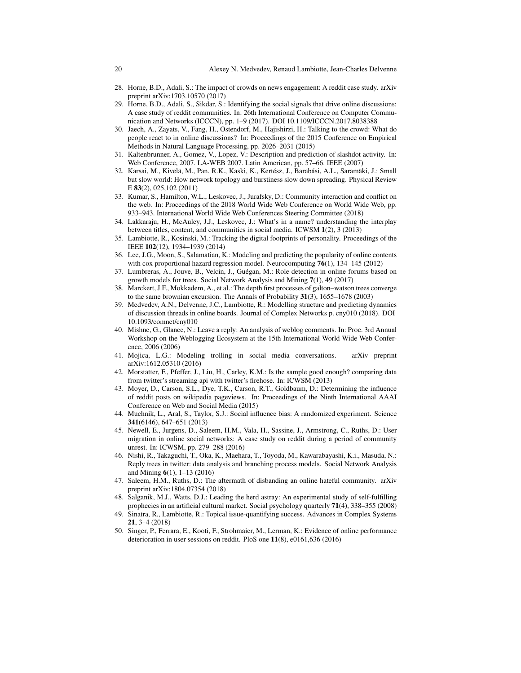- <span id="page-19-19"></span>28. Horne, B.D., Adali, S.: The impact of crowds on news engagement: A reddit case study. arXiv preprint arXiv:1703.10570 (2017)
- <span id="page-19-3"></span>29. Horne, B.D., Adali, S., Sikdar, S.: Identifying the social signals that drive online discussions: A case study of reddit communities. In: 26th International Conference on Computer Communication and Networks (ICCCN), pp. 1–9 (2017). DOI 10.1109/ICCCN.2017.8038388
- <span id="page-19-4"></span>30. Jaech, A., Zayats, V., Fang, H., Ostendorf, M., Hajishirzi, H.: Talking to the crowd: What do people react to in online discussions? In: Proceedings of the 2015 Conference on Empirical Methods in Natural Language Processing, pp. 2026–2031 (2015)
- <span id="page-19-9"></span>31. Kaltenbrunner, A., Gomez, V., Lopez, V.: Description and prediction of slashdot activity. In: Web Conference, 2007. LA-WEB 2007. Latin American, pp. 57–66. IEEE (2007)
- <span id="page-19-0"></span>32. Karsai, M., Kivelä, M., Pan, R.K., Kaski, K., Kertész, J., Barabási, A.L., Saramäki, J.: Small but slow world: How network topology and burstiness slow down spreading. Physical Review E 83(2), 025,102 (2011)
- <span id="page-19-14"></span>33. Kumar, S., Hamilton, W.L., Leskovec, J., Jurafsky, D.: Community interaction and conflict on the web. In: Proceedings of the 2018 World Wide Web Conference on World Wide Web, pp. 933–943. International World Wide Web Conferences Steering Committee (2018)
- <span id="page-19-5"></span>34. Lakkaraju, H., McAuley, J.J., Leskovec, J.: What's in a name? understanding the interplay between titles, content, and communities in social media. ICWSM 1(2), 3 (2013)
- <span id="page-19-21"></span>35. Lambiotte, R., Kosinski, M.: Tracking the digital footprints of personality. Proceedings of the IEEE 102(12), 1934–1939 (2014)
- <span id="page-19-1"></span>36. Lee, J.G., Moon, S., Salamatian, K.: Modeling and predicting the popularity of online contents with cox proportional hazard regression model. Neurocomputing 76(1), 134–145 (2012)
- <span id="page-19-8"></span>37. Lumbreras, A., Jouve, B., Velcin, J., Guegan, M.: Role detection in online forums based on ´ growth models for trees. Social Network Analysis and Mining 7(1), 49 (2017)
- <span id="page-19-11"></span>38. Marckert, J.F., Mokkadem, A., et al.: The depth first processes of galton–watson trees converge to the same brownian excursion. The Annals of Probability 31(3), 1655–1678 (2003)
- <span id="page-19-6"></span>39. Medvedev, A.N., Delvenne, J.C., Lambiotte, R.: Modelling structure and predicting dynamics of discussion threads in online boards. Journal of Complex Networks p. cny010 (2018). DOI 10.1093/comnet/cny010
- <span id="page-19-2"></span>40. Mishne, G., Glance, N.: Leave a reply: An analysis of weblog comments. In: Proc. 3rd Annual Workshop on the Weblogging Ecosystem at the 15th International World Wide Web Conference, 2006 (2006)
- <span id="page-19-18"></span>41. Mojica, L.G.: Modeling trolling in social media conversations. arXiv preprint arXiv:1612.05310 (2016)
- <span id="page-19-22"></span>42. Morstatter, F., Pfeffer, J., Liu, H., Carley, K.M.: Is the sample good enough? comparing data from twitter's streaming api with twitter's firehose. In: ICWSM (2013)
- <span id="page-19-20"></span>43. Moyer, D., Carson, S.L., Dye, T.K., Carson, R.T., Goldbaum, D.: Determining the influence of reddit posts on wikipedia pageviews. In: Proceedings of the Ninth International AAAI Conference on Web and Social Media (2015)
- <span id="page-19-15"></span>44. Muchnik, L., Aral, S., Taylor, S.J.: Social influence bias: A randomized experiment. Science 341(6146), 647–651 (2013)
- <span id="page-19-13"></span>45. Newell, E., Jurgens, D., Saleem, H.M., Vala, H., Sassine, J., Armstrong, C., Ruths, D.: User migration in online social networks: A case study on reddit during a period of community unrest. In: ICWSM, pp. 279–288 (2016)
- <span id="page-19-10"></span>46. Nishi, R., Takaguchi, T., Oka, K., Maehara, T., Toyoda, M., Kawarabayashi, K.i., Masuda, N.: Reply trees in twitter: data analysis and branching process models. Social Network Analysis and Mining 6(1), 1–13 (2016)
- <span id="page-19-17"></span>47. Saleem, H.M., Ruths, D.: The aftermath of disbanding an online hateful community. arXiv preprint arXiv:1804.07354 (2018)
- <span id="page-19-16"></span>48. Salganik, M.J., Watts, D.J.: Leading the herd astray: An experimental study of self-fulfilling prophecies in an artificial cultural market. Social psychology quarterly 71(4), 338–355 (2008)
- <span id="page-19-7"></span>49. Sinatra, R., Lambiotte, R.: Topical issue-quantifying success. Advances in Complex Systems 21, 3–4 (2018)
- <span id="page-19-12"></span>50. Singer, P., Ferrara, E., Kooti, F., Strohmaier, M., Lerman, K.: Evidence of online performance deterioration in user sessions on reddit. PloS one 11(8), e0161,636 (2016)